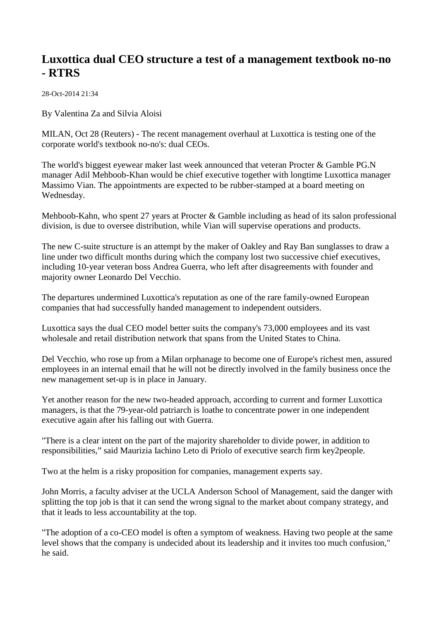## **Luxottica dual CEO structure a test of a management textbook no-no - RTRS**

28-Oct-2014 21:34

By Valentina Za and Silvia Aloisi

MILAN, Oct 28 (Reuters) - The recent management overhaul at Luxottica is testing one of the corporate world's textbook no-no's: dual CEOs.

The world's biggest eyewear maker last week announced that veteran Procter & Gamble PG.N manager Adil Mehboob-Khan would be chief executive together with longtime Luxottica manager Massimo Vian. The appointments are expected to be rubber-stamped at a board meeting on Wednesday.

Mehboob-Kahn, who spent 27 years at Procter & Gamble including as head of its salon professional division, is due to oversee distribution, while Vian will supervise operations and products.

The new C-suite structure is an attempt by the maker of Oakley and Ray Ban sunglasses to draw a line under two difficult months during which the company lost two successive chief executives, including 10-year veteran boss Andrea Guerra, who left after disagreements with founder and majority owner Leonardo Del Vecchio.

The departures undermined Luxottica's reputation as one of the rare family-owned European companies that had successfully handed management to independent outsiders.

Luxottica says the dual CEO model better suits the company's 73,000 employees and its vast wholesale and retail distribution network that spans from the United States to China.

Del Vecchio, who rose up from a Milan orphanage to become one of Europe's richest men, assured employees in an internal email that he will not be directly involved in the family business once the new management set-up is in place in January.

Yet another reason for the new two-headed approach, according to current and former Luxottica managers, is that the 79-year-old patriarch is loathe to concentrate power in one independent executive again after his falling out with Guerra.

"There is a clear intent on the part of the majority shareholder to divide power, in addition to responsibilities," said Maurizia Iachino Leto di Priolo of executive search firm key2people.

Two at the helm is a risky proposition for companies, management experts say.

John Morris, a faculty adviser at the UCLA Anderson School of Management, said the danger with splitting the top job is that it can send the wrong signal to the market about company strategy, and that it leads to less accountability at the top.

"The adoption of a co-CEO model is often a symptom of weakness. Having two people at the same level shows that the company is undecided about its leadership and it invites too much confusion," he said.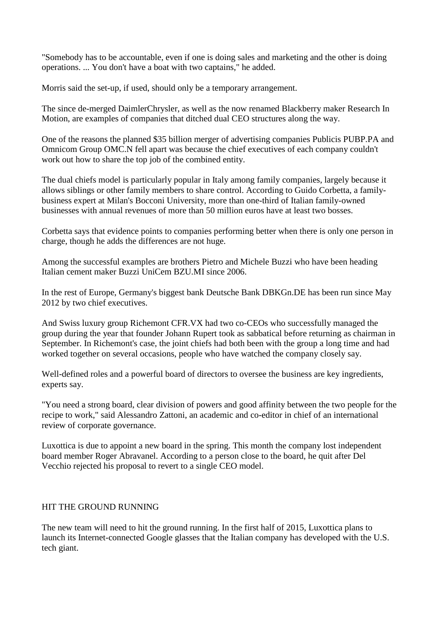"Somebody has to be accountable, even if one is doing sales and marketing and the other is doing operations. ... You don't have a boat with two captains," he added.

Morris said the set-up, if used, should only be a temporary arrangement.

The since de-merged DaimlerChrysler, as well as the now renamed Blackberry maker Research In Motion, are examples of companies that ditched dual CEO structures along the way.

One of the reasons the planned \$35 billion merger of advertising companies Publicis PUBP.PA and Omnicom Group OMC.N fell apart was because the chief executives of each company couldn't work out how to share the top job of the combined entity.

The dual chiefs model is particularly popular in Italy among family companies, largely because it allows siblings or other family members to share control. According to Guido Corbetta, a familybusiness expert at Milan's Bocconi University, more than one-third of Italian family-owned businesses with annual revenues of more than 50 million euros have at least two bosses.

Corbetta says that evidence points to companies performing better when there is only one person in charge, though he adds the differences are not huge.

Among the successful examples are brothers Pietro and Michele Buzzi who have been heading Italian cement maker Buzzi UniCem BZU.MI since 2006.

In the rest of Europe, Germany's biggest bank Deutsche Bank DBKGn.DE has been run since May 2012 by two chief executives.

And Swiss luxury group Richemont CFR.VX had two co-CEOs who successfully managed the group during the year that founder Johann Rupert took as sabbatical before returning as chairman in September. In Richemont's case, the joint chiefs had both been with the group a long time and had worked together on several occasions, people who have watched the company closely say.

Well-defined roles and a powerful board of directors to oversee the business are key ingredients, experts say.

"You need a strong board, clear division of powers and good affinity between the two people for the recipe to work," said Alessandro Zattoni, an academic and co-editor in chief of an international review of corporate governance.

Luxottica is due to appoint a new board in the spring. This month the company lost independent board member Roger Abravanel. According to a person close to the board, he quit after Del Vecchio rejected his proposal to revert to a single CEO model.

## HIT THE GROUND RUNNING

The new team will need to hit the ground running. In the first half of 2015, Luxottica plans to launch its Internet-connected Google glasses that the Italian company has developed with the U.S. tech giant.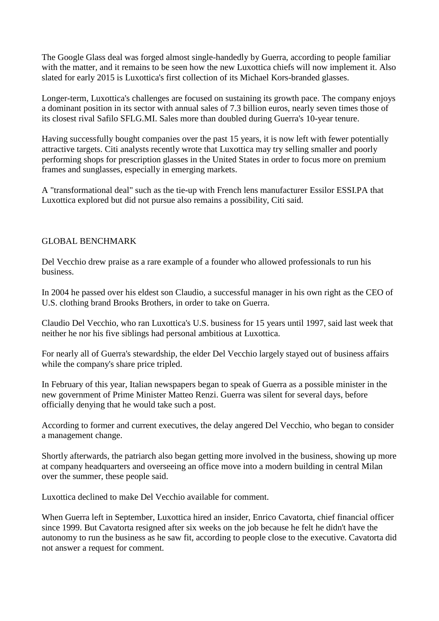The Google Glass deal was forged almost single-handedly by Guerra, according to people familiar with the matter, and it remains to be seen how the new Luxottica chiefs will now implement it. Also slated for early 2015 is Luxottica's first collection of its Michael Kors-branded glasses.

Longer-term, Luxottica's challenges are focused on sustaining its growth pace. The company enjoys a dominant position in its sector with annual sales of 7.3 billion euros, nearly seven times those of its closest rival Safilo SFLG.MI. Sales more than doubled during Guerra's 10-year tenure.

Having successfully bought companies over the past 15 years, it is now left with fewer potentially attractive targets. Citi analysts recently wrote that Luxottica may try selling smaller and poorly performing shops for prescription glasses in the United States in order to focus more on premium frames and sunglasses, especially in emerging markets.

A "transformational deal" such as the tie-up with French lens manufacturer Essilor ESSI.PA that Luxottica explored but did not pursue also remains a possibility, Citi said.

## GLOBAL BENCHMARK

Del Vecchio drew praise as a rare example of a founder who allowed professionals to run his business.

In 2004 he passed over his eldest son Claudio, a successful manager in his own right as the CEO of U.S. clothing brand Brooks Brothers, in order to take on Guerra.

Claudio Del Vecchio, who ran Luxottica's U.S. business for 15 years until 1997, said last week that neither he nor his five siblings had personal ambitious at Luxottica.

For nearly all of Guerra's stewardship, the elder Del Vecchio largely stayed out of business affairs while the company's share price tripled.

In February of this year, Italian newspapers began to speak of Guerra as a possible minister in the new government of Prime Minister Matteo Renzi. Guerra was silent for several days, before officially denying that he would take such a post.

According to former and current executives, the delay angered Del Vecchio, who began to consider a management change.

Shortly afterwards, the patriarch also began getting more involved in the business, showing up more at company headquarters and overseeing an office move into a modern building in central Milan over the summer, these people said.

Luxottica declined to make Del Vecchio available for comment.

When Guerra left in September, Luxottica hired an insider, Enrico Cavatorta, chief financial officer since 1999. But Cavatorta resigned after six weeks on the job because he felt he didn't have the autonomy to run the business as he saw fit, according to people close to the executive. Cavatorta did not answer a request for comment.